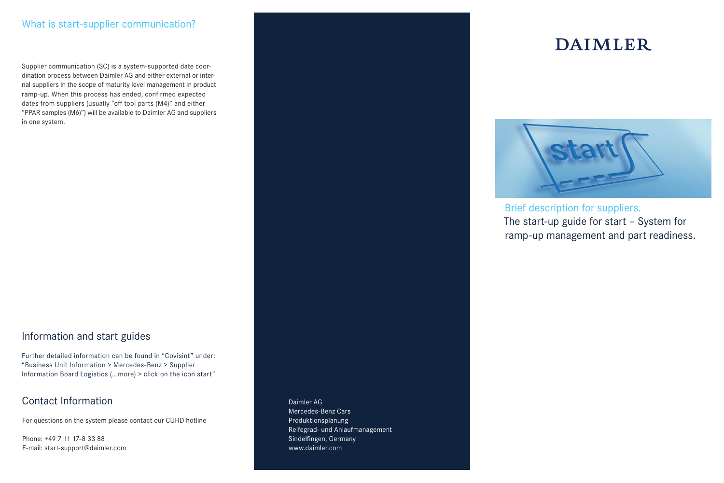## What is start-supplier communication?

Supplier communication (SC) is a system-supported date coordination process between Daimler AG and either external or internal suppliers in the scope of maturity level management in product ramp-up. When this process has ended, confirmed expected dates from suppliers (usually "off tool parts (M4)" and either "PPAR samples (M6)") will be available to Daimler AG and suppliers in one system.

# Information and start guides

Further detailed information can be found in "Covisint" under: "Business Unit Information > Mercedes-Benz > Supplier Information Board Logistics (...more) > click on the icon start"

# Contact Information

For questions on the system please contact our CUHD hotline

Phone: +49 7 11 17-8 33 88 E-mail: start-support@daimler.com

# Daimler AG Mercedes-Benz Cars

# **DAIMLER**



Brief description for suppliers. The start-up guide for start - System for ramp-up management and part readiness.

Produktionsplanung Reifegrad- und Anlaufmanagement Sindelfingen, Germany www.daimler.com